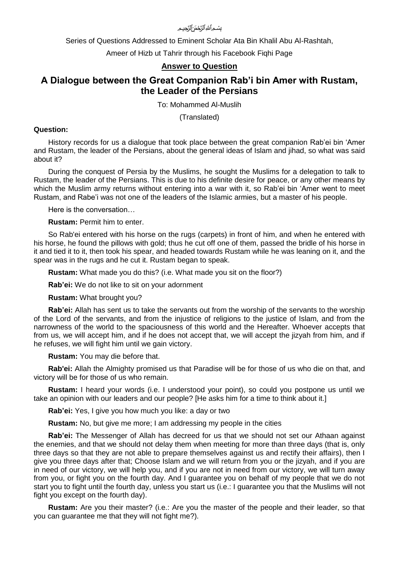### بسَّــمِ ٱللهُ ٱلرَّحْمَ ۚ ٱلرَّحِـــمِ

Series of Questions Addressed to Eminent Scholar Ata Bin Khalil Abu Al-Rashtah,

Ameer of Hizb ut Tahrir through his Facebook Fiqhi Page

## **Answer to Question**

# **A Dialogue between the Great Companion Rab'i bin Amer with Rustam, the Leader of the Persians**

To: Mohammed Al-Muslih

(Translated)

#### **Question:**

History records for us a dialogue that took place between the great companion Rab'ei bin 'Amer and Rustam, the leader of the Persians, about the general ideas of Islam and jihad, so what was said about it?

During the conquest of Persia by the Muslims, he sought the Muslims for a delegation to talk to Rustam, the leader of the Persians. This is due to his definite desire for peace, or any other means by which the Muslim army returns without entering into a war with it, so Rab'ei bin 'Amer went to meet Rustam, and Rabe'i was not one of the leaders of the Islamic armies, but a master of his people.

Here is the conversation…

**Rustam:** Permit him to enter.

So Rab'ei entered with his horse on the rugs (carpets) in front of him, and when he entered with his horse, he found the pillows with gold; thus he cut off one of them, passed the bridle of his horse in it and tied it to it, then took his spear, and headed towards Rustam while he was leaning on it, and the spear was in the rugs and he cut it. Rustam began to speak.

**Rustam:** What made you do this? (i.e. What made you sit on the floor?)

**Rab'ei:** We do not like to sit on your adornment

**Rustam:** What brought you?

**Rab'ei:** Allah has sent us to take the servants out from the worship of the servants to the worship of the Lord of the servants, and from the injustice of religions to the justice of Islam, and from the narrowness of the world to the spaciousness of this world and the Hereafter. Whoever accepts that from us, we will accept him, and if he does not accept that, we will accept the jizyah from him, and if he refuses, we will fight him until we gain victory.

**Rustam:** You may die before that.

**Rab'ei:** Allah the Almighty promised us that Paradise will be for those of us who die on that, and victory will be for those of us who remain.

**Rustam:** I heard your words (i.e. I understood your point), so could you postpone us until we take an opinion with our leaders and our people? [He asks him for a time to think about it.]

**Rab'ei:** Yes, I give you how much you like: a day or two

**Rustam:** No, but give me more; I am addressing my people in the cities

**Rab'ei:** The Messenger of Allah has decreed for us that we should not set our Athaan against the enemies, and that we should not delay them when meeting for more than three days (that is, only three days so that they are not able to prepare themselves against us and rectify their affairs), then I give you three days after that; Choose Islam and we will return from you or the jizyah, and if you are in need of our victory, we will help you, and if you are not in need from our victory, we will turn away from you, or fight you on the fourth day. And I guarantee you on behalf of my people that we do not start you to fight until the fourth day, unless you start us (i.e.: I guarantee you that the Muslims will not fight you except on the fourth day).

**Rustam:** Are you their master? (i.e.: Are you the master of the people and their leader, so that you can guarantee me that they will not fight me?).